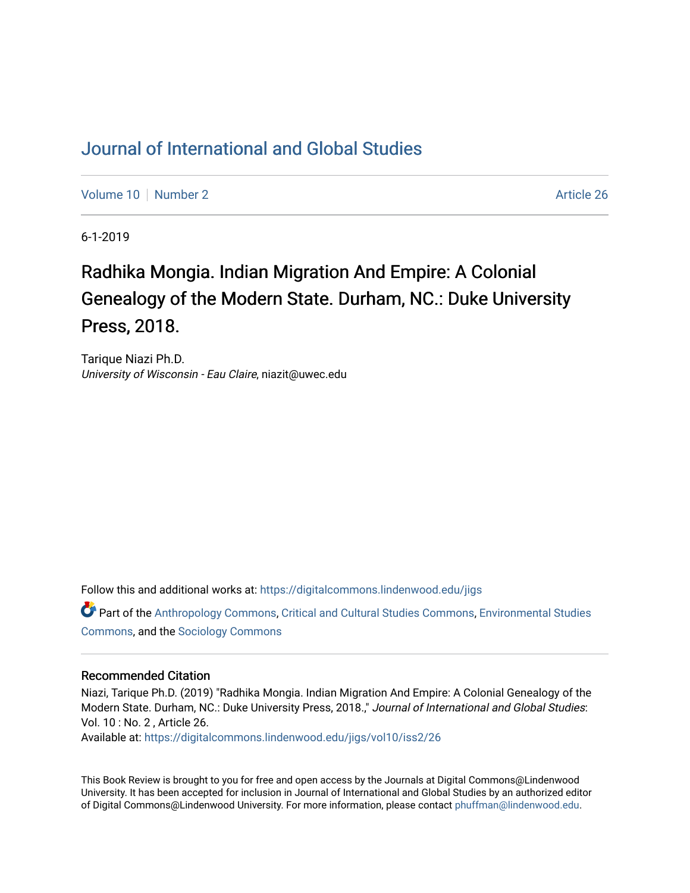## [Journal of International and Global Studies](https://digitalcommons.lindenwood.edu/jigs)

[Volume 10](https://digitalcommons.lindenwood.edu/jigs/vol10) [Number 2](https://digitalcommons.lindenwood.edu/jigs/vol10/iss2) Article 26

6-1-2019

## Radhika Mongia. Indian Migration And Empire: A Colonial Genealogy of the Modern State. Durham, NC.: Duke University Press, 2018.

Tarique Niazi Ph.D. University of Wisconsin - Eau Claire, niazit@uwec.edu

Follow this and additional works at: [https://digitalcommons.lindenwood.edu/jigs](https://digitalcommons.lindenwood.edu/jigs?utm_source=digitalcommons.lindenwood.edu%2Fjigs%2Fvol10%2Fiss2%2F26&utm_medium=PDF&utm_campaign=PDFCoverPages) 

Part of the [Anthropology Commons](http://network.bepress.com/hgg/discipline/318?utm_source=digitalcommons.lindenwood.edu%2Fjigs%2Fvol10%2Fiss2%2F26&utm_medium=PDF&utm_campaign=PDFCoverPages), [Critical and Cultural Studies Commons](http://network.bepress.com/hgg/discipline/328?utm_source=digitalcommons.lindenwood.edu%2Fjigs%2Fvol10%2Fiss2%2F26&utm_medium=PDF&utm_campaign=PDFCoverPages), [Environmental Studies](http://network.bepress.com/hgg/discipline/1333?utm_source=digitalcommons.lindenwood.edu%2Fjigs%2Fvol10%2Fiss2%2F26&utm_medium=PDF&utm_campaign=PDFCoverPages)  [Commons](http://network.bepress.com/hgg/discipline/1333?utm_source=digitalcommons.lindenwood.edu%2Fjigs%2Fvol10%2Fiss2%2F26&utm_medium=PDF&utm_campaign=PDFCoverPages), and the [Sociology Commons](http://network.bepress.com/hgg/discipline/416?utm_source=digitalcommons.lindenwood.edu%2Fjigs%2Fvol10%2Fiss2%2F26&utm_medium=PDF&utm_campaign=PDFCoverPages)

## Recommended Citation

Niazi, Tarique Ph.D. (2019) "Radhika Mongia. Indian Migration And Empire: A Colonial Genealogy of the Modern State. Durham, NC.: Duke University Press, 2018.," Journal of International and Global Studies: Vol. 10 : No. 2 , Article 26.

Available at: [https://digitalcommons.lindenwood.edu/jigs/vol10/iss2/26](https://digitalcommons.lindenwood.edu/jigs/vol10/iss2/26?utm_source=digitalcommons.lindenwood.edu%2Fjigs%2Fvol10%2Fiss2%2F26&utm_medium=PDF&utm_campaign=PDFCoverPages) 

This Book Review is brought to you for free and open access by the Journals at Digital Commons@Lindenwood University. It has been accepted for inclusion in Journal of International and Global Studies by an authorized editor of Digital Commons@Lindenwood University. For more information, please contact [phuffman@lindenwood.edu](mailto:phuffman@lindenwood.edu).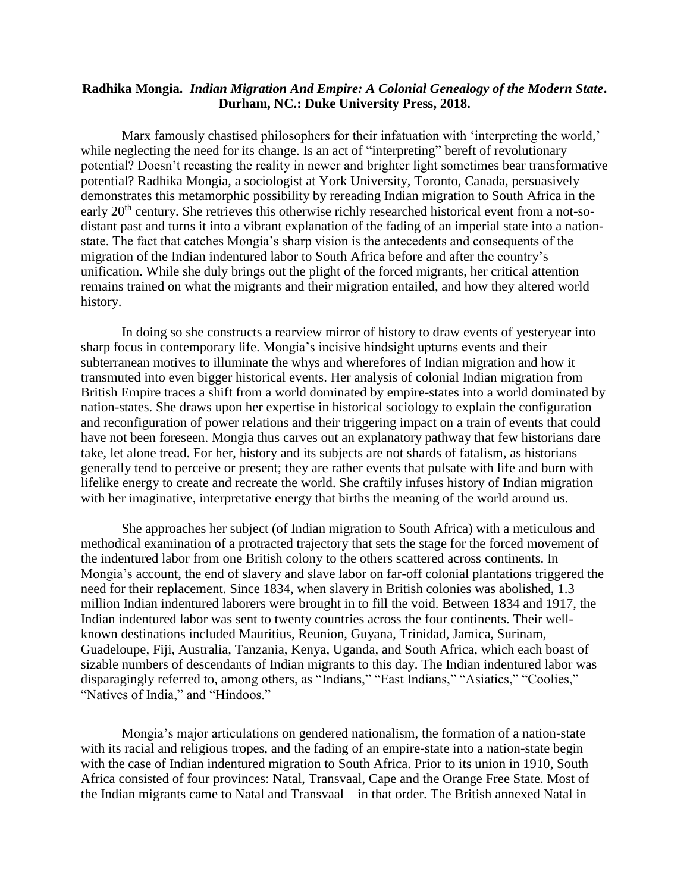## **Radhika Mongia.** *Indian Migration And Empire: A Colonial Genealogy of the Modern State***. Durham, NC.: Duke University Press, 2018.**

Marx famously chastised philosophers for their infatuation with 'interpreting the world,' while neglecting the need for its change. Is an act of "interpreting" bereft of revolutionary potential? Doesn't recasting the reality in newer and brighter light sometimes bear transformative potential? Radhika Mongia, a sociologist at York University, Toronto, Canada, persuasively demonstrates this metamorphic possibility by rereading Indian migration to South Africa in the early 20<sup>th</sup> century. She retrieves this otherwise richly researched historical event from a not-sodistant past and turns it into a vibrant explanation of the fading of an imperial state into a nationstate. The fact that catches Mongia's sharp vision is the antecedents and consequents of the migration of the Indian indentured labor to South Africa before and after the country's unification. While she duly brings out the plight of the forced migrants, her critical attention remains trained on what the migrants and their migration entailed, and how they altered world history.

In doing so she constructs a rearview mirror of history to draw events of yesteryear into sharp focus in contemporary life. Mongia's incisive hindsight upturns events and their subterranean motives to illuminate the whys and wherefores of Indian migration and how it transmuted into even bigger historical events. Her analysis of colonial Indian migration from British Empire traces a shift from a world dominated by empire-states into a world dominated by nation-states. She draws upon her expertise in historical sociology to explain the configuration and reconfiguration of power relations and their triggering impact on a train of events that could have not been foreseen. Mongia thus carves out an explanatory pathway that few historians dare take, let alone tread. For her, history and its subjects are not shards of fatalism, as historians generally tend to perceive or present; they are rather events that pulsate with life and burn with lifelike energy to create and recreate the world. She craftily infuses history of Indian migration with her imaginative, interpretative energy that births the meaning of the world around us.

She approaches her subject (of Indian migration to South Africa) with a meticulous and methodical examination of a protracted trajectory that sets the stage for the forced movement of the indentured labor from one British colony to the others scattered across continents. In Mongia's account, the end of slavery and slave labor on far-off colonial plantations triggered the need for their replacement. Since 1834, when slavery in British colonies was abolished, 1.3 million Indian indentured laborers were brought in to fill the void. Between 1834 and 1917, the Indian indentured labor was sent to twenty countries across the four continents. Their wellknown destinations included Mauritius, Reunion, Guyana, Trinidad, Jamica, Surinam, Guadeloupe, Fiji, Australia, Tanzania, Kenya, Uganda, and South Africa, which each boast of sizable numbers of descendants of Indian migrants to this day. The Indian indentured labor was disparagingly referred to, among others, as "Indians," "East Indians," "Asiatics," "Coolies," "Natives of India," and "Hindoos."

Mongia's major articulations on gendered nationalism, the formation of a nation-state with its racial and religious tropes, and the fading of an empire-state into a nation-state begin with the case of Indian indentured migration to South Africa. Prior to its union in 1910, South Africa consisted of four provinces: Natal, Transvaal, Cape and the Orange Free State. Most of the Indian migrants came to Natal and Transvaal – in that order. The British annexed Natal in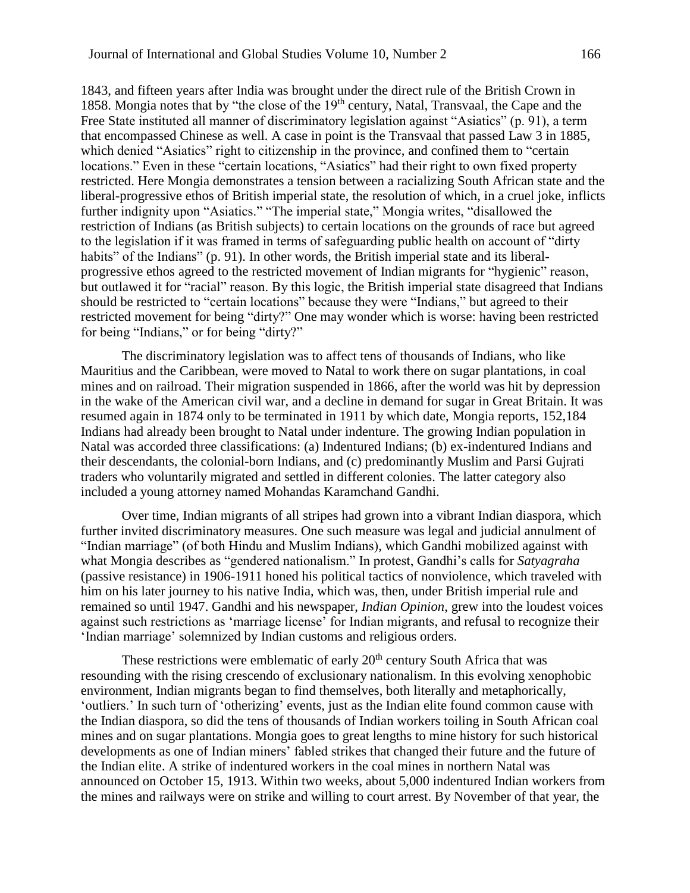1843, and fifteen years after India was brought under the direct rule of the British Crown in 1858. Mongia notes that by "the close of the 19<sup>th</sup> century, Natal, Transvaal, the Cape and the Free State instituted all manner of discriminatory legislation against "Asiatics" (p. 91), a term that encompassed Chinese as well. A case in point is the Transvaal that passed Law 3 in 1885, which denied "Asiatics" right to citizenship in the province, and confined them to "certain locations." Even in these "certain locations, "Asiatics" had their right to own fixed property restricted. Here Mongia demonstrates a tension between a racializing South African state and the liberal-progressive ethos of British imperial state, the resolution of which, in a cruel joke, inflicts further indignity upon "Asiatics." "The imperial state," Mongia writes, "disallowed the restriction of Indians (as British subjects) to certain locations on the grounds of race but agreed to the legislation if it was framed in terms of safeguarding public health on account of "dirty habits" of the Indians" (p. 91). In other words, the British imperial state and its liberalprogressive ethos agreed to the restricted movement of Indian migrants for "hygienic" reason, but outlawed it for "racial" reason. By this logic, the British imperial state disagreed that Indians should be restricted to "certain locations" because they were "Indians," but agreed to their restricted movement for being "dirty?" One may wonder which is worse: having been restricted for being "Indians," or for being "dirty?"

The discriminatory legislation was to affect tens of thousands of Indians, who like Mauritius and the Caribbean, were moved to Natal to work there on sugar plantations, in coal mines and on railroad. Their migration suspended in 1866, after the world was hit by depression in the wake of the American civil war, and a decline in demand for sugar in Great Britain. It was resumed again in 1874 only to be terminated in 1911 by which date, Mongia reports, 152,184 Indians had already been brought to Natal under indenture. The growing Indian population in Natal was accorded three classifications: (a) Indentured Indians; (b) ex-indentured Indians and their descendants, the colonial-born Indians, and (c) predominantly Muslim and Parsi Gujrati traders who voluntarily migrated and settled in different colonies. The latter category also included a young attorney named Mohandas Karamchand Gandhi.

Over time, Indian migrants of all stripes had grown into a vibrant Indian diaspora, which further invited discriminatory measures. One such measure was legal and judicial annulment of "Indian marriage" (of both Hindu and Muslim Indians), which Gandhi mobilized against with what Mongia describes as "gendered nationalism." In protest, Gandhi's calls for *Satyagraha* (passive resistance) in 1906-1911 honed his political tactics of nonviolence, which traveled with him on his later journey to his native India, which was, then, under British imperial rule and remained so until 1947. Gandhi and his newspaper, *Indian Opinion*, grew into the loudest voices against such restrictions as 'marriage license' for Indian migrants, and refusal to recognize their 'Indian marriage' solemnized by Indian customs and religious orders.

These restrictions were emblematic of early  $20<sup>th</sup>$  century South Africa that was resounding with the rising crescendo of exclusionary nationalism. In this evolving xenophobic environment, Indian migrants began to find themselves, both literally and metaphorically, 'outliers.' In such turn of 'otherizing' events, just as the Indian elite found common cause with the Indian diaspora, so did the tens of thousands of Indian workers toiling in South African coal mines and on sugar plantations. Mongia goes to great lengths to mine history for such historical developments as one of Indian miners' fabled strikes that changed their future and the future of the Indian elite. A strike of indentured workers in the coal mines in northern Natal was announced on October 15, 1913. Within two weeks, about 5,000 indentured Indian workers from the mines and railways were on strike and willing to court arrest. By November of that year, the